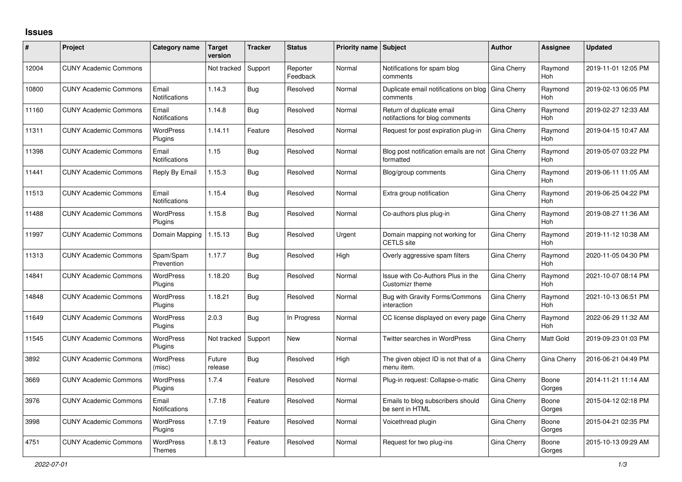## **Issues**

| #     | Project                      | Category name                 | Target<br>version | Tracker    | <b>Status</b>        | <b>Priority name   Subject</b> |                                                             | <b>Author</b> | Assignee              | <b>Updated</b>      |
|-------|------------------------------|-------------------------------|-------------------|------------|----------------------|--------------------------------|-------------------------------------------------------------|---------------|-----------------------|---------------------|
| 12004 | <b>CUNY Academic Commons</b> |                               | Not tracked       | Support    | Reporter<br>Feedback | Normal                         | Notifications for spam blog<br>comments                     | Gina Cherry   | Raymond<br>Hoh        | 2019-11-01 12:05 PM |
| 10800 | <b>CUNY Academic Commons</b> | Email<br>Notifications        | 1.14.3            | Bug        | Resolved             | Normal                         | Duplicate email notifications on blog<br>comments           | Gina Cherry   | Raymond<br>Hoh        | 2019-02-13 06:05 PM |
| 11160 | <b>CUNY Academic Commons</b> | Email<br><b>Notifications</b> | 1.14.8            | Bug        | Resolved             | Normal                         | Return of duplicate email<br>notifactions for blog comments | Gina Cherry   | Raymond<br>Hoh        | 2019-02-27 12:33 AM |
| 11311 | <b>CUNY Academic Commons</b> | <b>WordPress</b><br>Plugins   | 1.14.11           | Feature    | Resolved             | Normal                         | Request for post expiration plug-in                         | Gina Cherry   | Raymond<br><b>Hoh</b> | 2019-04-15 10:47 AM |
| 11398 | <b>CUNY Academic Commons</b> | Email<br>Notifications        | 1.15              | Bug        | Resolved             | Normal                         | Blog post notification emails are not<br>formatted          | Gina Cherry   | Raymond<br>Hoh        | 2019-05-07 03:22 PM |
| 11441 | <b>CUNY Academic Commons</b> | Reply By Email                | 1.15.3            | Bug        | Resolved             | Normal                         | Blog/group comments                                         | Gina Cherry   | Raymond<br>Hoh        | 2019-06-11 11:05 AM |
| 11513 | <b>CUNY Academic Commons</b> | Email<br><b>Notifications</b> | 1.15.4            | <b>Bug</b> | Resolved             | Normal                         | Extra group notification                                    | Gina Cherry   | Raymond<br>Hoh        | 2019-06-25 04:22 PM |
| 11488 | <b>CUNY Academic Commons</b> | <b>WordPress</b><br>Plugins   | 1.15.8            | Bug        | Resolved             | Normal                         | Co-authors plus plug-in                                     | Gina Cherry   | Raymond<br>Hoh        | 2019-08-27 11:36 AM |
| 11997 | <b>CUNY Academic Commons</b> | Domain Mapping                | 1.15.13           | Bug        | Resolved             | Urgent                         | Domain mapping not working for<br><b>CETLS</b> site         | Gina Cherry   | Raymond<br><b>Hoh</b> | 2019-11-12 10:38 AM |
| 11313 | <b>CUNY Academic Commons</b> | Spam/Spam<br>Prevention       | 1.17.7            | Bug        | Resolved             | High                           | Overly aggressive spam filters                              | Gina Cherry   | Raymond<br><b>Hoh</b> | 2020-11-05 04:30 PM |
| 14841 | <b>CUNY Academic Commons</b> | <b>WordPress</b><br>Plugins   | 1.18.20           | Bug        | Resolved             | Normal                         | Issue with Co-Authors Plus in the<br>Customizr theme        | Gina Cherry   | Raymond<br><b>Hoh</b> | 2021-10-07 08:14 PM |
| 14848 | <b>CUNY Academic Commons</b> | <b>WordPress</b><br>Plugins   | 1.18.21           | Bug        | Resolved             | Normal                         | Bug with Gravity Forms/Commons<br>interaction               | Gina Cherry   | Raymond<br><b>Hoh</b> | 2021-10-13 06:51 PM |
| 11649 | <b>CUNY Academic Commons</b> | <b>WordPress</b><br>Plugins   | 2.0.3             | Bug        | In Progress          | Normal                         | CC license displayed on every page                          | Gina Cherry   | Raymond<br>Hoh        | 2022-06-29 11:32 AM |
| 11545 | <b>CUNY Academic Commons</b> | <b>WordPress</b><br>Plugins   | Not tracked       | Support    | <b>New</b>           | Normal                         | Twitter searches in WordPress                               | Gina Cherry   | Matt Gold             | 2019-09-23 01:03 PM |
| 3892  | <b>CUNY Academic Commons</b> | <b>WordPress</b><br>(misc)    | Future<br>release | <b>Bug</b> | Resolved             | High                           | The given object ID is not that of a<br>menu item.          | Gina Cherry   | Gina Cherry           | 2016-06-21 04:49 PM |
| 3669  | <b>CUNY Academic Commons</b> | WordPress<br>Plugins          | 1.7.4             | Feature    | Resolved             | Normal                         | Plug-in request: Collapse-o-matic                           | Gina Cherry   | Boone<br>Gorges       | 2014-11-21 11:14 AM |
| 3976  | <b>CUNY Academic Commons</b> | Email<br>Notifications        | 1.7.18            | Feature    | Resolved             | Normal                         | Emails to blog subscribers should<br>be sent in HTML        | Gina Cherry   | Boone<br>Gorges       | 2015-04-12 02:18 PM |
| 3998  | <b>CUNY Academic Commons</b> | <b>WordPress</b><br>Plugins   | 1.7.19            | Feature    | Resolved             | Normal                         | Voicethread plugin                                          | Gina Cherry   | Boone<br>Gorges       | 2015-04-21 02:35 PM |
| 4751  | <b>CUNY Academic Commons</b> | <b>WordPress</b><br>Themes    | 1.8.13            | Feature    | Resolved             | Normal                         | Request for two plug-ins                                    | Gina Cherry   | Boone<br>Gorges       | 2015-10-13 09:29 AM |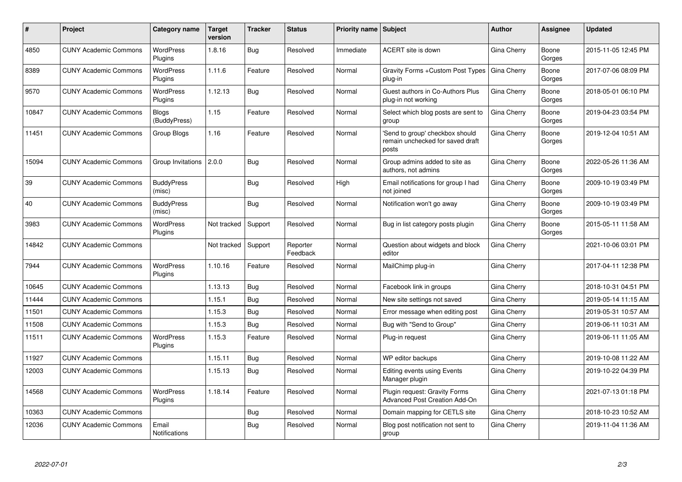| #     | <b>Project</b>               | Category name                 | <b>Target</b><br>version | <b>Tracker</b> | <b>Status</b>        | <b>Priority name Subject</b> |                                                                              | <b>Author</b>      | Assignee        | <b>Updated</b>      |
|-------|------------------------------|-------------------------------|--------------------------|----------------|----------------------|------------------------------|------------------------------------------------------------------------------|--------------------|-----------------|---------------------|
| 4850  | <b>CUNY Academic Commons</b> | <b>WordPress</b><br>Plugins   | 1.8.16                   | Bug            | Resolved             | Immediate                    | ACERT site is down                                                           | Gina Cherry        | Boone<br>Gorges | 2015-11-05 12:45 PM |
| 8389  | <b>CUNY Academic Commons</b> | <b>WordPress</b><br>Plugins   | 1.11.6                   | Feature        | Resolved             | Normal                       | Gravity Forms + Custom Post Types<br>plug-in                                 | <b>Gina Cherry</b> | Boone<br>Gorges | 2017-07-06 08:09 PM |
| 9570  | <b>CUNY Academic Commons</b> | <b>WordPress</b><br>Plugins   | 1.12.13                  | Bug            | Resolved             | Normal                       | Guest authors in Co-Authors Plus<br>plug-in not working                      | Gina Cherry        | Boone<br>Gorges | 2018-05-01 06:10 PM |
| 10847 | <b>CUNY Academic Commons</b> | <b>Blogs</b><br>(BuddyPress)  | 1.15                     | Feature        | Resolved             | Normal                       | Select which blog posts are sent to<br>group                                 | Gina Cherry        | Boone<br>Gorges | 2019-04-23 03:54 PM |
| 11451 | <b>CUNY Academic Commons</b> | Group Blogs                   | 1.16                     | Feature        | Resolved             | Normal                       | 'Send to group' checkbox should<br>remain unchecked for saved draft<br>posts | Gina Cherry        | Boone<br>Gorges | 2019-12-04 10:51 AM |
| 15094 | <b>CUNY Academic Commons</b> | Group Invitations             | 2.0.0                    | Bug            | Resolved             | Normal                       | Group admins added to site as<br>authors, not admins                         | Gina Cherry        | Boone<br>Gorges | 2022-05-26 11:36 AM |
| 39    | <b>CUNY Academic Commons</b> | <b>BuddyPress</b><br>(misc)   |                          | Bug            | Resolved             | High                         | Email notifications for group I had<br>not joined                            | Gina Cherry        | Boone<br>Gorges | 2009-10-19 03:49 PM |
| 40    | <b>CUNY Academic Commons</b> | <b>BuddyPress</b><br>(misc)   |                          | Bug            | Resolved             | Normal                       | Notification won't go away                                                   | Gina Cherry        | Boone<br>Gorges | 2009-10-19 03:49 PM |
| 3983  | <b>CUNY Academic Commons</b> | <b>WordPress</b><br>Plugins   | Not tracked              | Support        | Resolved             | Normal                       | Bug in list category posts plugin                                            | Gina Cherry        | Boone<br>Gorges | 2015-05-11 11:58 AM |
| 14842 | <b>CUNY Academic Commons</b> |                               | Not tracked              | Support        | Reporter<br>Feedback | Normal                       | Question about widgets and block<br>editor                                   | Gina Cherry        |                 | 2021-10-06 03:01 PM |
| 7944  | <b>CUNY Academic Commons</b> | <b>WordPress</b><br>Plugins   | 1.10.16                  | Feature        | Resolved             | Normal                       | MailChimp plug-in                                                            | Gina Cherry        |                 | 2017-04-11 12:38 PM |
| 10645 | <b>CUNY Academic Commons</b> |                               | 1.13.13                  | <b>Bug</b>     | Resolved             | Normal                       | Facebook link in groups                                                      | Gina Cherry        |                 | 2018-10-31 04:51 PM |
| 11444 | <b>CUNY Academic Commons</b> |                               | 1.15.1                   | Bug            | Resolved             | Normal                       | New site settings not saved                                                  | Gina Cherry        |                 | 2019-05-14 11:15 AM |
| 11501 | <b>CUNY Academic Commons</b> |                               | 1.15.3                   | Bug            | Resolved             | Normal                       | Error message when editing post                                              | Gina Cherry        |                 | 2019-05-31 10:57 AM |
| 11508 | <b>CUNY Academic Commons</b> |                               | 1.15.3                   | <b>Bug</b>     | Resolved             | Normal                       | Bug with "Send to Group"                                                     | Gina Cherry        |                 | 2019-06-11 10:31 AM |
| 11511 | <b>CUNY Academic Commons</b> | <b>WordPress</b><br>Plugins   | 1.15.3                   | Feature        | Resolved             | Normal                       | Plug-in request                                                              | Gina Cherry        |                 | 2019-06-11 11:05 AM |
| 11927 | <b>CUNY Academic Commons</b> |                               | 1.15.11                  | Bug            | Resolved             | Normal                       | WP editor backups                                                            | Gina Cherry        |                 | 2019-10-08 11:22 AM |
| 12003 | <b>CUNY Academic Commons</b> |                               | 1.15.13                  | Bug            | Resolved             | Normal                       | <b>Editing events using Events</b><br>Manager plugin                         | Gina Cherry        |                 | 2019-10-22 04:39 PM |
| 14568 | <b>CUNY Academic Commons</b> | <b>WordPress</b><br>Plugins   | 1.18.14                  | Feature        | Resolved             | Normal                       | Plugin request: Gravity Forms<br><b>Advanced Post Creation Add-On</b>        | Gina Cherry        |                 | 2021-07-13 01:18 PM |
| 10363 | <b>CUNY Academic Commons</b> |                               |                          | Bug            | Resolved             | Normal                       | Domain mapping for CETLS site                                                | Gina Cherry        |                 | 2018-10-23 10:52 AM |
| 12036 | <b>CUNY Academic Commons</b> | Email<br><b>Notifications</b> |                          | Bug            | Resolved             | Normal                       | Blog post notification not sent to<br>group                                  | Gina Cherry        |                 | 2019-11-04 11:36 AM |